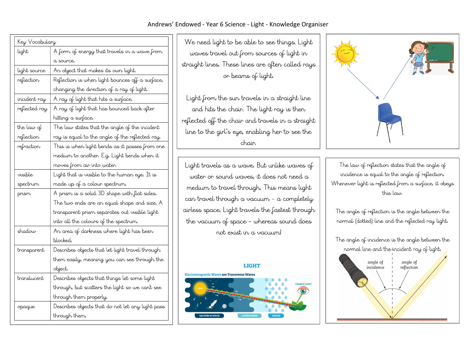#### Andrews' Endowed - Year 6 Science - Light - Knowledge Organiser

| Key Vocabulary |                                                  |
|----------------|--------------------------------------------------|
| light          | A form of energy that travels in a wave from     |
|                | a source.                                        |
| light source   | An object that makes its oun light.              |
| reflection     | Reflection is when light bounces off a surface,  |
|                | changing the direction of a ray of light.        |
| incident ray   | A ray of light that hits a surface.              |
| reflected ray  | A ray of light that has bounced back after       |
|                | hitting a surface.                               |
| the law of     | The law states that the angle of the incident    |
| reflection     | ray is equal to the angle of the reflected ray.  |
| refraction     | This is when light bends as it passes from one   |
|                | medium to another. E.g. Light bends when it      |
|                | moves from air into water.                       |
| visible        | Light that is visible to the human eye. It is    |
| spectrum       | made up of a colour spectrum.                    |
| prism          | A prism is a solid 3D shape with flat sides.     |
|                | The two ends are an equal shape and size. A      |
|                | transparent prism separates out visible light    |
|                | into all the colours of the spectrum.            |
| shadow         | An area of darkness where light has been         |
|                | blocked.                                         |
| transparent    | Describes objects that let light travel through  |
|                | them easily, meaning you can see through the     |
|                | object.                                          |
| translucent    | Describes objects that things let some light     |
|                | through, but scatters the light so we can't see  |
|                | through them properly.                           |
| opaque         | Describes objects that do not let any light pass |
|                | through them.                                    |

We need light to be able to see things. Light waves travel out from sources of light in straight lines. These lines are often called rays or beams of light.

Light from the sun travels in a straight line and hits the chair. The light ray is then reflected off the chair and travels in a straight line to the girl's eye, enabling her to see the chair.

Light travels as a wave. But unlike waves of water or sound waves, it does not need a medium to travel through. This means light can travel through a vacuum - a completely airless space. Light travels the fastest through the vacuum of space – whereas sound does not exist in a vacuum!





The law of reflection states that the angle of incidence is equal to the angle of reflection. Whenever light is reflected from a surface, it obeys this law.

The angle of reflection is the angle between the normal (dotted) line and the reflected ray light.

The angle of incidence is the angle between the normal line and the incident ray of light.